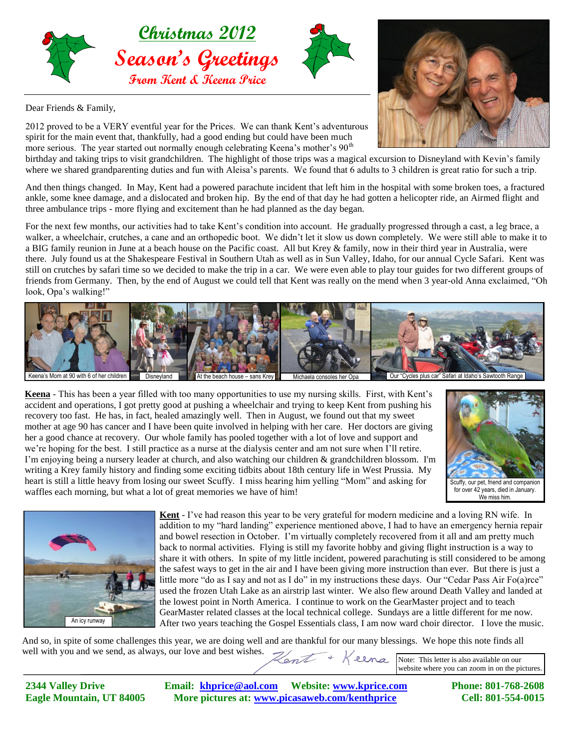



Dear Friends & Family,



2012 proved to be a VERY eventful year for the Prices. We can thank Kent's adventurous spirit for the main event that, thankfully, had a good ending but could have been much more serious. The year started out normally enough celebrating Keena's mother's 90<sup>th</sup>

birthday and taking trips to visit grandchildren. The highlight of those trips was a magical excursion to Disneyland with Kevin's family where we shared grandparenting duties and fun with Aleisa's parents. We found that 6 adults to 3 children is great ratio for such a trip.

And then things changed. In May, Kent had a powered parachute incident that left him in the hospital with some broken toes, a fractured ankle, some knee damage, and a dislocated and broken hip. By the end of that day he had gotten a helicopter ride, an Airmed flight and three ambulance trips - more flying and excitement than he had planned as the day began.

For the next few months, our activities had to take Kent's condition into account. He gradually progressed through a cast, a leg brace, a walker, a wheelchair, crutches, a cane and an orthopedic boot. We didn't let it slow us down completely. We were still able to make it to a BIG family reunion in June at a beach house on the Pacific coast. All but Krey & family, now in their third year in Australia, were there. July found us at the Shakespeare Festival in Southern Utah as well as in Sun Valley, Idaho, for our annual Cycle Safari. Kent was still on crutches by safari time so we decided to make the trip in a car. We were even able to play tour guides for two different groups of friends from Germany. Then, by the end of August we could tell that Kent was really on the mend when 3 year-old Anna exclaimed, "Oh look, Opa's walking!"



**Keena** - This has been a year filled with too many opportunities to use my nursing skills. First, with Kent's accident and operations, I got pretty good at pushing a wheelchair and trying to keep Kent from pushing his recovery too fast. He has, in fact, healed amazingly well. Then in August, we found out that my sweet mother at age 90 has cancer and I have been quite involved in helping with her care. Her doctors are giving her a good chance at recovery. Our whole family has pooled together with a lot of love and support and we're hoping for the best. I still practice as a nurse at the dialysis center and am not sure when I'll retire. I'm enjoying being a nursery leader at church, and also watching our children & grandchildren blossom. I'm writing a Krey family history and finding some exciting tidbits about 18th century life in West Prussia. My heart is still a little heavy from losing our sweet Scuffy. I miss hearing him yelling "Mom" and asking for waffles each morning, but what a lot of great memories we have of him!





**Kent** - I've had reason this year to be very grateful for modern medicine and a loving RN wife. In addition to my "hard landing" experience mentioned above, I had to have an emergency hernia repair and bowel resection in October. I'm virtually completely recovered from it all and am pretty much back to normal activities. Flying is still my favorite hobby and giving flight instruction is a way to share it with others. In spite of my little incident, powered parachuting is still considered to be among the safest ways to get in the air and I have been giving more instruction than ever. But there is just a little more "do as I say and not as I do" in my instructions these days. Our "Cedar Pass Air Fo(a)rce" used the frozen Utah Lake as an airstrip last winter. We also flew around Death Valley and landed at the lowest point in North America. I continue to work on the GearMaster project and to teach GearMaster related classes at the local technical college. Sundays are a little different for me now. An icy runway After two years teaching the Gospel Essentials class, I am now ward choir director. I love the music.

And so, in spite of some challenges this year, we are doing well and are thankful for our many blessings. We hope this note finds all well with you and we send, as always, our love and best wishes.

Note: This letter is also available on our website where you can zoom in on the pictures.

**2344 Valley Drive Email: [khprice@aol.com](mailto:khprice@aol.com) Website: [www.kprice.com](http://www.kprice.com/) Phone: 801-768-2608** Eagle Mountain, UT 84005 More pictures at: www.picasaweb.com/kenthprice Cell: 801-554-0015